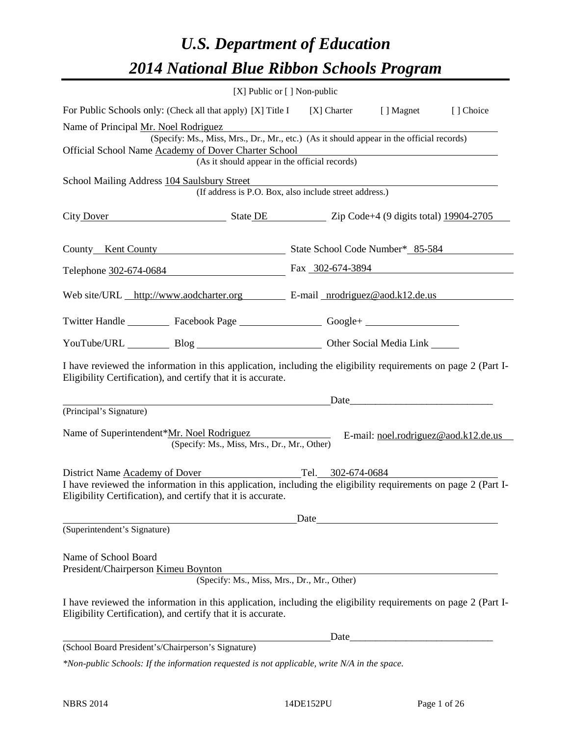# *U.S. Department of Education 2014 National Blue Ribbon Schools Program*

|                                                                                          | [X] Public or [] Non-public                                                                                                                                                    |                          |                                                                                                                      |                                                                                                                                                                                                                                |           |  |  |  |
|------------------------------------------------------------------------------------------|--------------------------------------------------------------------------------------------------------------------------------------------------------------------------------|--------------------------|----------------------------------------------------------------------------------------------------------------------|--------------------------------------------------------------------------------------------------------------------------------------------------------------------------------------------------------------------------------|-----------|--|--|--|
|                                                                                          | For Public Schools only: (Check all that apply) [X] Title I [X] Charter [] Magnet                                                                                              |                          |                                                                                                                      |                                                                                                                                                                                                                                | [] Choice |  |  |  |
|                                                                                          | Name of Principal Mr. Noel Rodriguez                                                                                                                                           |                          |                                                                                                                      |                                                                                                                                                                                                                                |           |  |  |  |
| (Specify: Ms., Miss, Mrs., Dr., Mr., etc.) (As it should appear in the official records) |                                                                                                                                                                                |                          |                                                                                                                      |                                                                                                                                                                                                                                |           |  |  |  |
|                                                                                          | Official School Name Academy of Dover Charter School<br>(As it should appear in the official records)                                                                          |                          |                                                                                                                      | <u> 1980 - Andrea Barbara, poeta esperanto-poeta esperanto-poeta esperanto-poeta esperanto-poeta esperanto-poeta</u>                                                                                                           |           |  |  |  |
|                                                                                          |                                                                                                                                                                                |                          |                                                                                                                      |                                                                                                                                                                                                                                |           |  |  |  |
|                                                                                          | School Mailing Address 104 Saulsbury Street<br>(If address is P.O. Box, also include street address.)                                                                          |                          | <u> 1989 - Jan Samuel Barbara, politik eta politik eta politik eta politik eta politik eta politik eta politik e</u> |                                                                                                                                                                                                                                |           |  |  |  |
|                                                                                          | City Dover State DE State DE Zip Code+4 (9 digits total) 19904-2705                                                                                                            |                          |                                                                                                                      |                                                                                                                                                                                                                                |           |  |  |  |
|                                                                                          | County Kent County State School Code Number* 85-584                                                                                                                            |                          |                                                                                                                      |                                                                                                                                                                                                                                |           |  |  |  |
|                                                                                          | Telephone 302-674-0684 Fax 302-674-3894                                                                                                                                        |                          |                                                                                                                      |                                                                                                                                                                                                                                |           |  |  |  |
|                                                                                          | Web site/URL http://www.aodcharter.org E-mail nrodriguez@aod.k12.de.us                                                                                                         |                          |                                                                                                                      |                                                                                                                                                                                                                                |           |  |  |  |
|                                                                                          | Twitter Handle ___________ Facebook Page ____________________ Google+ ___________                                                                                              |                          |                                                                                                                      |                                                                                                                                                                                                                                |           |  |  |  |
|                                                                                          | YouTube/URL Blog Blog Cher Social Media Link                                                                                                                                   |                          |                                                                                                                      |                                                                                                                                                                                                                                |           |  |  |  |
|                                                                                          | I have reviewed the information in this application, including the eligibility requirements on page 2 (Part I-<br>Eligibility Certification), and certify that it is accurate. |                          |                                                                                                                      |                                                                                                                                                                                                                                |           |  |  |  |
|                                                                                          | <u> 1989 - Johann Barn, amerikansk politiker (d. 1989)</u>                                                                                                                     |                          |                                                                                                                      | Date and the contract of the contract of the contract of the contract of the contract of the contract of the contract of the contract of the contract of the contract of the contract of the contract of the contract of the c |           |  |  |  |
| (Principal's Signature)                                                                  |                                                                                                                                                                                |                          |                                                                                                                      |                                                                                                                                                                                                                                |           |  |  |  |
|                                                                                          | Name of Superintendent*Mr. Noel Rodriguez<br>(Specify: Ms., Miss, Mrs., Dr., Mr., Other)                                                                                       | $\overline{\phantom{a}}$ |                                                                                                                      | E-mail: noel.rodriguez@aod.k12.de.us                                                                                                                                                                                           |           |  |  |  |
| District Name Academy of Dover                                                           | Tel. 302-674-0684                                                                                                                                                              |                          |                                                                                                                      |                                                                                                                                                                                                                                |           |  |  |  |
|                                                                                          | I have reviewed the information in this application, including the eligibility requirements on page 2 (Part I-<br>Eligibility Certification), and certify that it is accurate. |                          |                                                                                                                      |                                                                                                                                                                                                                                |           |  |  |  |
|                                                                                          |                                                                                                                                                                                |                          |                                                                                                                      | Date and the same state of the state of the state of the state of the state of the state of the state of the state of the state of the state of the state of the state of the state of the state of the state of the state of  |           |  |  |  |
| (Superintendent's Signature)                                                             |                                                                                                                                                                                |                          |                                                                                                                      |                                                                                                                                                                                                                                |           |  |  |  |
| Name of School Board                                                                     |                                                                                                                                                                                |                          |                                                                                                                      |                                                                                                                                                                                                                                |           |  |  |  |
|                                                                                          | President/Chairperson Kimeu Boynton<br>(Specify: Ms., Miss, Mrs., Dr., Mr., Other)                                                                                             |                          |                                                                                                                      |                                                                                                                                                                                                                                |           |  |  |  |
|                                                                                          |                                                                                                                                                                                |                          |                                                                                                                      |                                                                                                                                                                                                                                |           |  |  |  |
|                                                                                          | I have reviewed the information in this application, including the eligibility requirements on page 2 (Part I-<br>Eligibility Certification), and certify that it is accurate. |                          |                                                                                                                      |                                                                                                                                                                                                                                |           |  |  |  |
|                                                                                          |                                                                                                                                                                                |                          |                                                                                                                      |                                                                                                                                                                                                                                |           |  |  |  |
|                                                                                          | (School Board President's/Chairperson's Signature)                                                                                                                             |                          |                                                                                                                      |                                                                                                                                                                                                                                |           |  |  |  |

*\*Non-public Schools: If the information requested is not applicable, write N/A in the space.*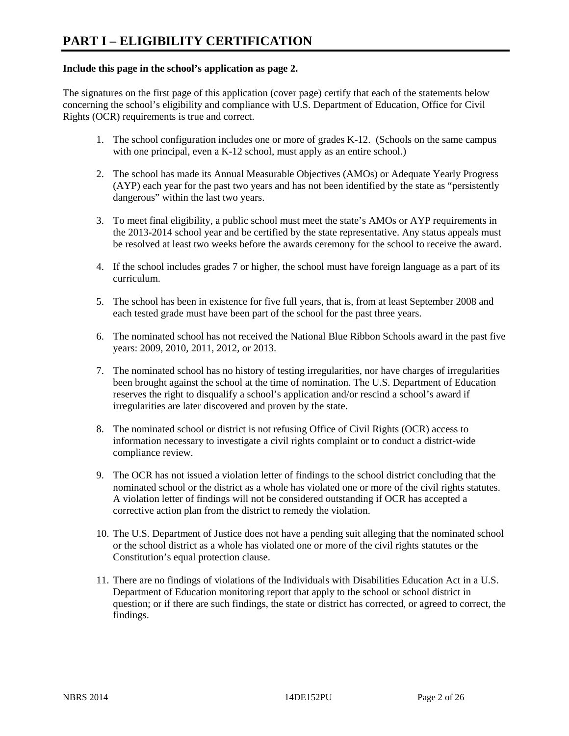#### **Include this page in the school's application as page 2.**

The signatures on the first page of this application (cover page) certify that each of the statements below concerning the school's eligibility and compliance with U.S. Department of Education, Office for Civil Rights (OCR) requirements is true and correct.

- 1. The school configuration includes one or more of grades K-12. (Schools on the same campus with one principal, even a K-12 school, must apply as an entire school.)
- 2. The school has made its Annual Measurable Objectives (AMOs) or Adequate Yearly Progress (AYP) each year for the past two years and has not been identified by the state as "persistently dangerous" within the last two years.
- 3. To meet final eligibility, a public school must meet the state's AMOs or AYP requirements in the 2013-2014 school year and be certified by the state representative. Any status appeals must be resolved at least two weeks before the awards ceremony for the school to receive the award.
- 4. If the school includes grades 7 or higher, the school must have foreign language as a part of its curriculum.
- 5. The school has been in existence for five full years, that is, from at least September 2008 and each tested grade must have been part of the school for the past three years.
- 6. The nominated school has not received the National Blue Ribbon Schools award in the past five years: 2009, 2010, 2011, 2012, or 2013.
- 7. The nominated school has no history of testing irregularities, nor have charges of irregularities been brought against the school at the time of nomination. The U.S. Department of Education reserves the right to disqualify a school's application and/or rescind a school's award if irregularities are later discovered and proven by the state.
- 8. The nominated school or district is not refusing Office of Civil Rights (OCR) access to information necessary to investigate a civil rights complaint or to conduct a district-wide compliance review.
- 9. The OCR has not issued a violation letter of findings to the school district concluding that the nominated school or the district as a whole has violated one or more of the civil rights statutes. A violation letter of findings will not be considered outstanding if OCR has accepted a corrective action plan from the district to remedy the violation.
- 10. The U.S. Department of Justice does not have a pending suit alleging that the nominated school or the school district as a whole has violated one or more of the civil rights statutes or the Constitution's equal protection clause.
- 11. There are no findings of violations of the Individuals with Disabilities Education Act in a U.S. Department of Education monitoring report that apply to the school or school district in question; or if there are such findings, the state or district has corrected, or agreed to correct, the findings.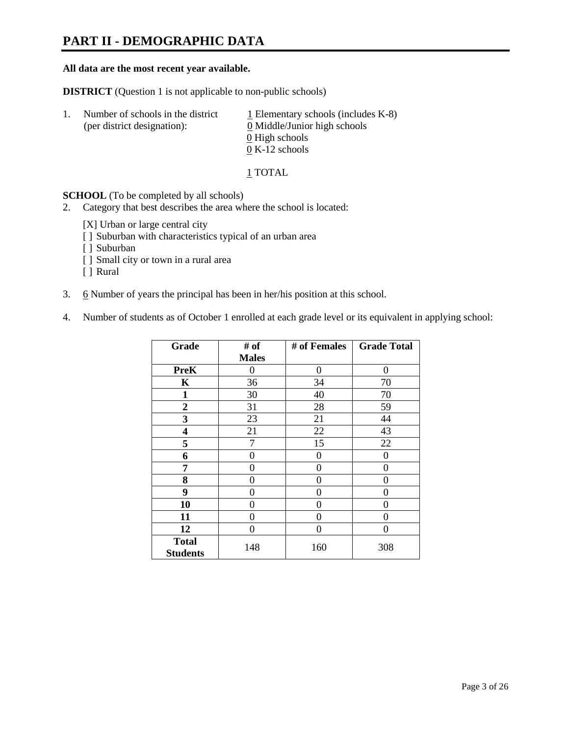# **PART II - DEMOGRAPHIC DATA**

#### **All data are the most recent year available.**

**DISTRICT** (Question 1 is not applicable to non-public schools)

| -1. | Number of schools in the district<br>(per district designation): | $\perp$ Elementary schools (includes K-8)<br>0 Middle/Junior high schools |
|-----|------------------------------------------------------------------|---------------------------------------------------------------------------|
|     |                                                                  | 0 High schools                                                            |
|     |                                                                  | $0 K-12$ schools                                                          |

1 TOTAL

**SCHOOL** (To be completed by all schools)

- 2. Category that best describes the area where the school is located:
	- [X] Urban or large central city
	- [ ] Suburban with characteristics typical of an urban area
	- [ ] Suburban
	- [ ] Small city or town in a rural area
	- [ ] Rural
- 3. 6 Number of years the principal has been in her/his position at this school.
- 4. Number of students as of October 1 enrolled at each grade level or its equivalent in applying school:

| Grade                           | # of         | # of Females | <b>Grade Total</b> |
|---------------------------------|--------------|--------------|--------------------|
|                                 | <b>Males</b> |              |                    |
| <b>PreK</b>                     | 0            | $\theta$     | $\Omega$           |
| K                               | 36           | 34           | 70                 |
| $\mathbf{1}$                    | 30           | 40           | 70                 |
| $\boldsymbol{2}$                | 31           | 28           | 59                 |
| 3                               | 23           | 21           | 44                 |
| 4                               | 21           | 22           | 43                 |
| 5                               | 7            | 15           | 22                 |
| 6                               | 0            | 0            | 0                  |
| 7                               | 0            | 0            | 0                  |
| 8                               | 0            | 0            | 0                  |
| 9                               | 0            | 0            | 0                  |
| 10                              | 0            | $\Omega$     | 0                  |
| 11                              | 0            | 0            | 0                  |
| 12                              | 0            | 0            | 0                  |
| <b>Total</b><br><b>Students</b> | 148          | 160          | 308                |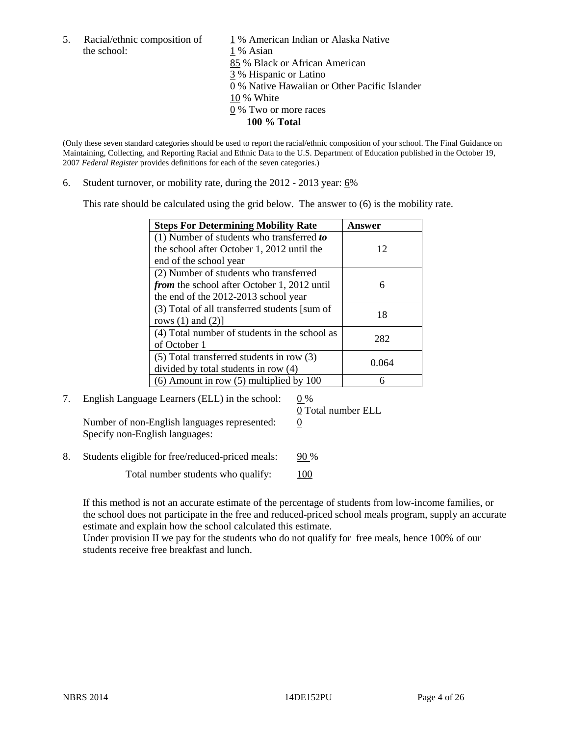the school: 1 % Asian

5. Racial/ethnic composition of  $1\%$  American Indian or Alaska Native 85 % Black or African American 3 % Hispanic or Latino 0 % Native Hawaiian or Other Pacific Islander 10 % White 0 % Two or more races **100 % Total** 

(Only these seven standard categories should be used to report the racial/ethnic composition of your school. The Final Guidance on Maintaining, Collecting, and Reporting Racial and Ethnic Data to the U.S. Department of Education published in the October 19, 2007 *Federal Register* provides definitions for each of the seven categories.)

6. Student turnover, or mobility rate, during the  $2012 - 2013$  year:  $6\%$ 

This rate should be calculated using the grid below. The answer to (6) is the mobility rate.

| <b>Steps For Determining Mobility Rate</b>         | Answer |
|----------------------------------------------------|--------|
| (1) Number of students who transferred to          |        |
| the school after October 1, 2012 until the         | 12     |
| end of the school year                             |        |
| (2) Number of students who transferred             |        |
| <i>from</i> the school after October 1, 2012 until | 6      |
| the end of the 2012-2013 school year               |        |
| (3) Total of all transferred students [sum of      | 18     |
| rows $(1)$ and $(2)$ ]                             |        |
| (4) Total number of students in the school as      | 282    |
| of October 1                                       |        |
| $(5)$ Total transferred students in row $(3)$      | 0.064  |
| divided by total students in row (4)               |        |
| $(6)$ Amount in row $(5)$ multiplied by 100        |        |

7. English Language Learners (ELL) in the school:  $0\%$ 

0 Total number ELL

Number of non-English languages represented:  $0$ Specify non-English languages:

8. Students eligible for free/reduced-priced meals: 90 %

Total number students who qualify:  $100$ 

If this method is not an accurate estimate of the percentage of students from low-income families, or the school does not participate in the free and reduced-priced school meals program, supply an accurate estimate and explain how the school calculated this estimate.

Under provision II we pay for the students who do not qualify for free meals, hence 100% of our students receive free breakfast and lunch.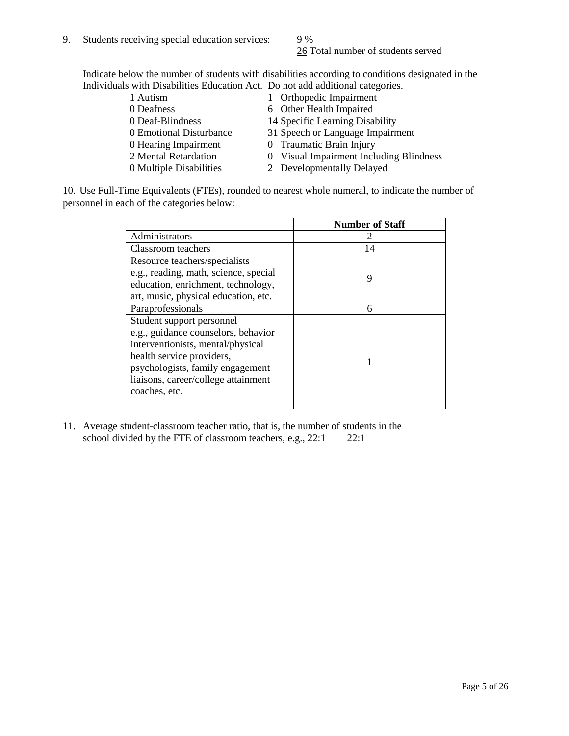26 Total number of students served

Indicate below the number of students with disabilities according to conditions designated in the Individuals with Disabilities Education Act. Do not add additional categories.

| 1 Autism                | 1 Orthopedic Impairment                 |
|-------------------------|-----------------------------------------|
| 0 Deafness              | 6 Other Health Impaired                 |
| 0 Deaf-Blindness        | 14 Specific Learning Disability         |
| 0 Emotional Disturbance | 31 Speech or Language Impairment        |
| 0 Hearing Impairment    | 0 Traumatic Brain Injury                |
| 2 Mental Retardation    | 0 Visual Impairment Including Blindness |
| 0 Multiple Disabilities | 2 Developmentally Delayed               |
|                         |                                         |

10. Use Full-Time Equivalents (FTEs), rounded to nearest whole numeral, to indicate the number of personnel in each of the categories below:

|                                       | <b>Number of Staff</b> |
|---------------------------------------|------------------------|
| Administrators                        |                        |
| Classroom teachers                    | 14                     |
| Resource teachers/specialists         |                        |
| e.g., reading, math, science, special | 9                      |
| education, enrichment, technology,    |                        |
| art, music, physical education, etc.  |                        |
| Paraprofessionals                     | 6                      |
| Student support personnel             |                        |
| e.g., guidance counselors, behavior   |                        |
| interventionists, mental/physical     |                        |
| health service providers,             |                        |
| psychologists, family engagement      |                        |
| liaisons, career/college attainment   |                        |
| coaches, etc.                         |                        |
|                                       |                        |

11. Average student-classroom teacher ratio, that is, the number of students in the school divided by the FTE of classroom teachers, e.g.,  $22:1$   $22:1$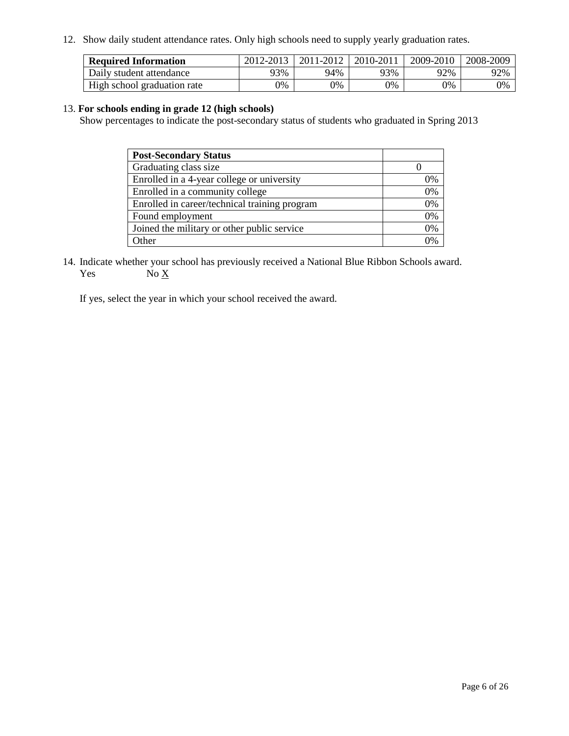12. Show daily student attendance rates. Only high schools need to supply yearly graduation rates.

| <b>Required Information</b> | 2012-2013 | 2011-2012 | 2010-2011 | 2009-2010 | 2008-2009 |
|-----------------------------|-----------|-----------|-----------|-----------|-----------|
| Daily student attendance    | 93%       | 94%       | 93%       | 92%       | 92%       |
| High school graduation rate | 0%        | 9%        | 0%        | 0%        | 0%        |

#### 13. **For schools ending in grade 12 (high schools)**

Show percentages to indicate the post-secondary status of students who graduated in Spring 2013

| <b>Post-Secondary Status</b>                  |    |
|-----------------------------------------------|----|
| Graduating class size                         |    |
| Enrolled in a 4-year college or university    | 0% |
| Enrolled in a community college               | 0% |
| Enrolled in career/technical training program | 0% |
| Found employment                              | 0% |
| Joined the military or other public service   | 0% |
| <b>Other</b>                                  | 2% |

14. Indicate whether your school has previously received a National Blue Ribbon Schools award. Yes  $No \underline{X}$ 

If yes, select the year in which your school received the award.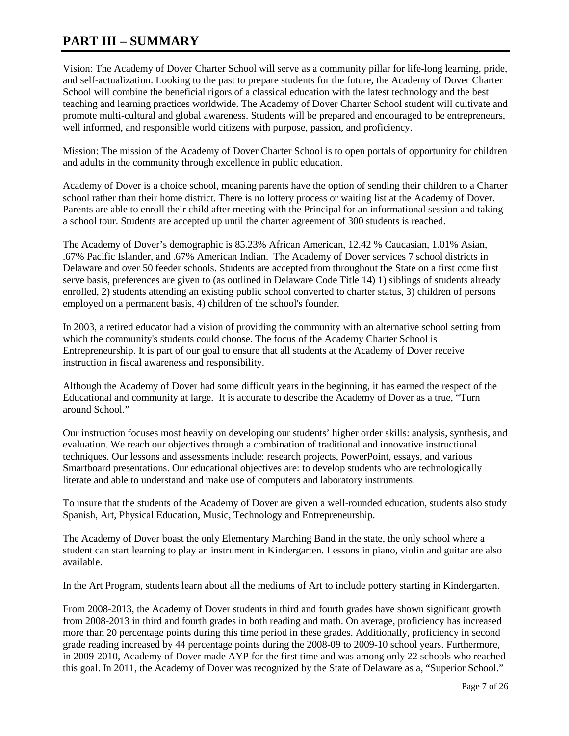# **PART III – SUMMARY**

Vision: The Academy of Dover Charter School will serve as a community pillar for life-long learning, pride, and self-actualization. Looking to the past to prepare students for the future, the Academy of Dover Charter School will combine the beneficial rigors of a classical education with the latest technology and the best teaching and learning practices worldwide. The Academy of Dover Charter School student will cultivate and promote multi-cultural and global awareness. Students will be prepared and encouraged to be entrepreneurs, well informed, and responsible world citizens with purpose, passion, and proficiency.

Mission: The mission of the Academy of Dover Charter School is to open portals of opportunity for children and adults in the community through excellence in public education.

Academy of Dover is a choice school, meaning parents have the option of sending their children to a Charter school rather than their home district. There is no lottery process or waiting list at the Academy of Dover. Parents are able to enroll their child after meeting with the Principal for an informational session and taking a school tour. Students are accepted up until the charter agreement of 300 students is reached.

The Academy of Dover's demographic is 85.23% African American, 12.42 % Caucasian, 1.01% Asian, .67% Pacific Islander, and .67% American Indian. The Academy of Dover services 7 school districts in Delaware and over 50 feeder schools. Students are accepted from throughout the State on a first come first serve basis, preferences are given to (as outlined in Delaware Code Title 14) 1) siblings of students already enrolled, 2) students attending an existing public school converted to charter status, 3) children of persons employed on a permanent basis, 4) children of the school's founder.

In 2003, a retired educator had a vision of providing the community with an alternative school setting from which the community's students could choose. The focus of the Academy Charter School is Entrepreneurship. It is part of our goal to ensure that all students at the Academy of Dover receive instruction in fiscal awareness and responsibility.

Although the Academy of Dover had some difficult years in the beginning, it has earned the respect of the Educational and community at large. It is accurate to describe the Academy of Dover as a true, "Turn around School."

Our instruction focuses most heavily on developing our students' higher order skills: analysis, synthesis, and evaluation. We reach our objectives through a combination of traditional and innovative instructional techniques. Our lessons and assessments include: research projects, PowerPoint, essays, and various Smartboard presentations. Our educational objectives are: to develop students who are technologically literate and able to understand and make use of computers and laboratory instruments.

To insure that the students of the Academy of Dover are given a well-rounded education, students also study Spanish, Art, Physical Education, Music, Technology and Entrepreneurship.

The Academy of Dover boast the only Elementary Marching Band in the state, the only school where a student can start learning to play an instrument in Kindergarten. Lessons in piano, violin and guitar are also available.

In the Art Program, students learn about all the mediums of Art to include pottery starting in Kindergarten.

From 2008-2013, the Academy of Dover students in third and fourth grades have shown significant growth from 2008-2013 in third and fourth grades in both reading and math. On average, proficiency has increased more than 20 percentage points during this time period in these grades. Additionally, proficiency in second grade reading increased by 44 percentage points during the 2008-09 to 2009-10 school years. Furthermore, in 2009-2010, Academy of Dover made AYP for the first time and was among only 22 schools who reached this goal. In 2011, the Academy of Dover was recognized by the State of Delaware as a, "Superior School."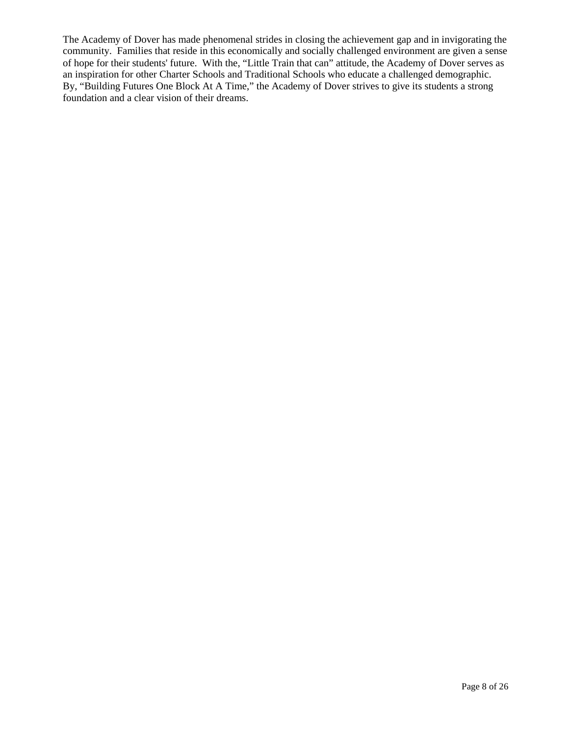The Academy of Dover has made phenomenal strides in closing the achievement gap and in invigorating the community. Families that reside in this economically and socially challenged environment are given a sense of hope for their students' future. With the, "Little Train that can" attitude, the Academy of Dover serves as an inspiration for other Charter Schools and Traditional Schools who educate a challenged demographic. By, "Building Futures One Block At A Time," the Academy of Dover strives to give its students a strong foundation and a clear vision of their dreams.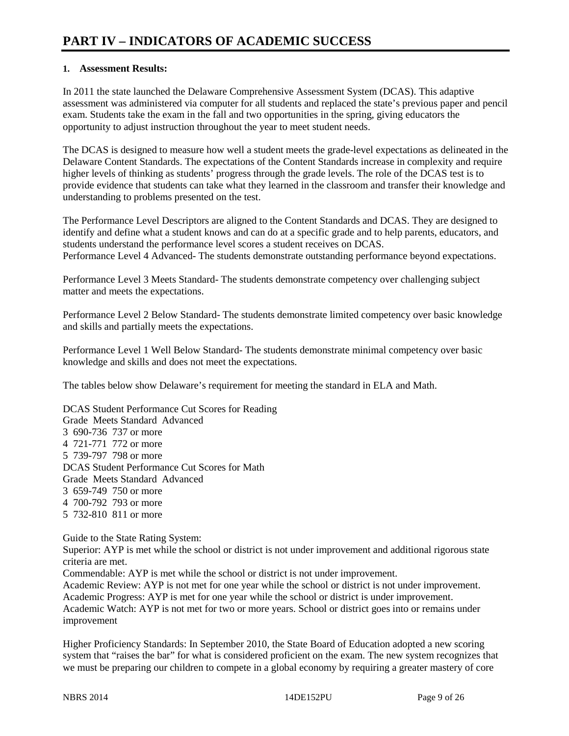### **1. Assessment Results:**

In 2011 the state launched the Delaware Comprehensive Assessment System (DCAS). This adaptive assessment was administered via computer for all students and replaced the state's previous paper and pencil exam. Students take the exam in the fall and two opportunities in the spring, giving educators the opportunity to adjust instruction throughout the year to meet student needs.

The DCAS is designed to measure how well a student meets the grade-level expectations as delineated in the Delaware Content Standards. The expectations of the Content Standards increase in complexity and require higher levels of thinking as students' progress through the grade levels. The role of the DCAS test is to provide evidence that students can take what they learned in the classroom and transfer their knowledge and understanding to problems presented on the test.

The Performance Level Descriptors are aligned to the Content Standards and DCAS. They are designed to identify and define what a student knows and can do at a specific grade and to help parents, educators, and students understand the performance level scores a student receives on DCAS. Performance Level 4 Advanced- The students demonstrate outstanding performance beyond expectations.

Performance Level 3 Meets Standard- The students demonstrate competency over challenging subject matter and meets the expectations.

Performance Level 2 Below Standard- The students demonstrate limited competency over basic knowledge and skills and partially meets the expectations.

Performance Level 1 Well Below Standard- The students demonstrate minimal competency over basic knowledge and skills and does not meet the expectations.

The tables below show Delaware's requirement for meeting the standard in ELA and Math.

DCAS Student Performance Cut Scores for Reading Grade Meets Standard Advanced 3 690-736 737 or more 4 721-771 772 or more 5 739-797 798 or more DCAS Student Performance Cut Scores for Math Grade Meets Standard Advanced 3 659-749 750 or more 4 700-792 793 or more 5 732-810 811 or more

Guide to the State Rating System:

Superior: AYP is met while the school or district is not under improvement and additional rigorous state criteria are met.

Commendable: AYP is met while the school or district is not under improvement.

Academic Review: AYP is not met for one year while the school or district is not under improvement. Academic Progress: AYP is met for one year while the school or district is under improvement.

Academic Watch: AYP is not met for two or more years. School or district goes into or remains under improvement

Higher Proficiency Standards: In September 2010, the State Board of Education adopted a new scoring system that "raises the bar" for what is considered proficient on the exam. The new system recognizes that we must be preparing our children to compete in a global economy by requiring a greater mastery of core

NBRS 2014 **Page 9 of 26** and 2014 **14DE152PU** Page 9 of 26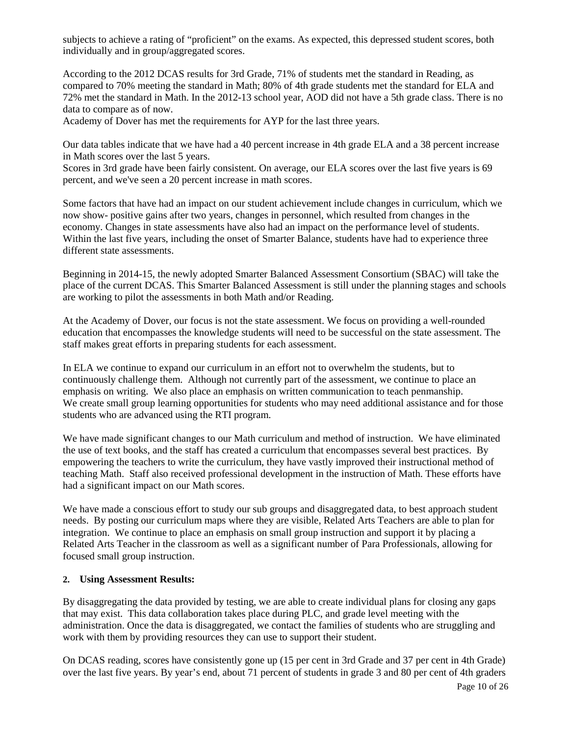subjects to achieve a rating of "proficient" on the exams. As expected, this depressed student scores, both individually and in group/aggregated scores.

According to the 2012 DCAS results for 3rd Grade, 71% of students met the standard in Reading, as compared to 70% meeting the standard in Math; 80% of 4th grade students met the standard for ELA and 72% met the standard in Math. In the 2012-13 school year, AOD did not have a 5th grade class. There is no data to compare as of now.

Academy of Dover has met the requirements for AYP for the last three years.

Our data tables indicate that we have had a 40 percent increase in 4th grade ELA and a 38 percent increase in Math scores over the last 5 years.

Scores in 3rd grade have been fairly consistent. On average, our ELA scores over the last five years is 69 percent, and we've seen a 20 percent increase in math scores.

Some factors that have had an impact on our student achievement include changes in curriculum, which we now show- positive gains after two years, changes in personnel, which resulted from changes in the economy. Changes in state assessments have also had an impact on the performance level of students. Within the last five years, including the onset of Smarter Balance, students have had to experience three different state assessments.

Beginning in 2014-15, the newly adopted Smarter Balanced Assessment Consortium (SBAC) will take the place of the current DCAS. This Smarter Balanced Assessment is still under the planning stages and schools are working to pilot the assessments in both Math and/or Reading.

At the Academy of Dover, our focus is not the state assessment. We focus on providing a well-rounded education that encompasses the knowledge students will need to be successful on the state assessment. The staff makes great efforts in preparing students for each assessment.

In ELA we continue to expand our curriculum in an effort not to overwhelm the students, but to continuously challenge them. Although not currently part of the assessment, we continue to place an emphasis on writing. We also place an emphasis on written communication to teach penmanship. We create small group learning opportunities for students who may need additional assistance and for those students who are advanced using the RTI program.

We have made significant changes to our Math curriculum and method of instruction. We have eliminated the use of text books, and the staff has created a curriculum that encompasses several best practices. By empowering the teachers to write the curriculum, they have vastly improved their instructional method of teaching Math. Staff also received professional development in the instruction of Math. These efforts have had a significant impact on our Math scores.

We have made a conscious effort to study our sub groups and disaggregated data, to best approach student needs. By posting our curriculum maps where they are visible, Related Arts Teachers are able to plan for integration. We continue to place an emphasis on small group instruction and support it by placing a Related Arts Teacher in the classroom as well as a significant number of Para Professionals, allowing for focused small group instruction.

#### **2. Using Assessment Results:**

By disaggregating the data provided by testing, we are able to create individual plans for closing any gaps that may exist. This data collaboration takes place during PLC, and grade level meeting with the administration. Once the data is disaggregated, we contact the families of students who are struggling and work with them by providing resources they can use to support their student.

On DCAS reading, scores have consistently gone up (15 per cent in 3rd Grade and 37 per cent in 4th Grade) over the last five years. By year's end, about 71 percent of students in grade 3 and 80 per cent of 4th graders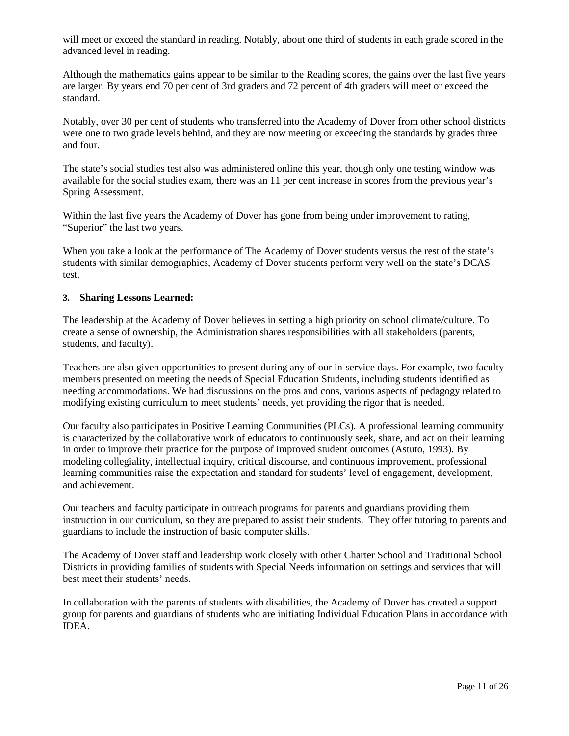will meet or exceed the standard in reading. Notably, about one third of students in each grade scored in the advanced level in reading.

Although the mathematics gains appear to be similar to the Reading scores, the gains over the last five years are larger. By years end 70 per cent of 3rd graders and 72 percent of 4th graders will meet or exceed the standard.

Notably, over 30 per cent of students who transferred into the Academy of Dover from other school districts were one to two grade levels behind, and they are now meeting or exceeding the standards by grades three and four.

The state's social studies test also was administered online this year, though only one testing window was available for the social studies exam, there was an 11 per cent increase in scores from the previous year's Spring Assessment.

Within the last five years the Academy of Dover has gone from being under improvement to rating, "Superior" the last two years.

When you take a look at the performance of The Academy of Dover students versus the rest of the state's students with similar demographics, Academy of Dover students perform very well on the state's DCAS test.

#### **3. Sharing Lessons Learned:**

The leadership at the Academy of Dover believes in setting a high priority on school climate/culture. To create a sense of ownership, the Administration shares responsibilities with all stakeholders (parents, students, and faculty).

Teachers are also given opportunities to present during any of our in-service days. For example, two faculty members presented on meeting the needs of Special Education Students, including students identified as needing accommodations. We had discussions on the pros and cons, various aspects of pedagogy related to modifying existing curriculum to meet students' needs, yet providing the rigor that is needed.

Our faculty also participates in Positive Learning Communities (PLCs). A professional learning community is characterized by the collaborative work of educators to continuously seek, share, and act on their learning in order to improve their practice for the purpose of improved student outcomes (Astuto, 1993). By modeling collegiality, intellectual inquiry, critical discourse, and continuous improvement, professional learning communities raise the expectation and standard for students' level of engagement, development, and achievement.

Our teachers and faculty participate in outreach programs for parents and guardians providing them instruction in our curriculum, so they are prepared to assist their students. They offer tutoring to parents and guardians to include the instruction of basic computer skills.

The Academy of Dover staff and leadership work closely with other Charter School and Traditional School Districts in providing families of students with Special Needs information on settings and services that will best meet their students' needs.

In collaboration with the parents of students with disabilities, the Academy of Dover has created a support group for parents and guardians of students who are initiating Individual Education Plans in accordance with IDEA.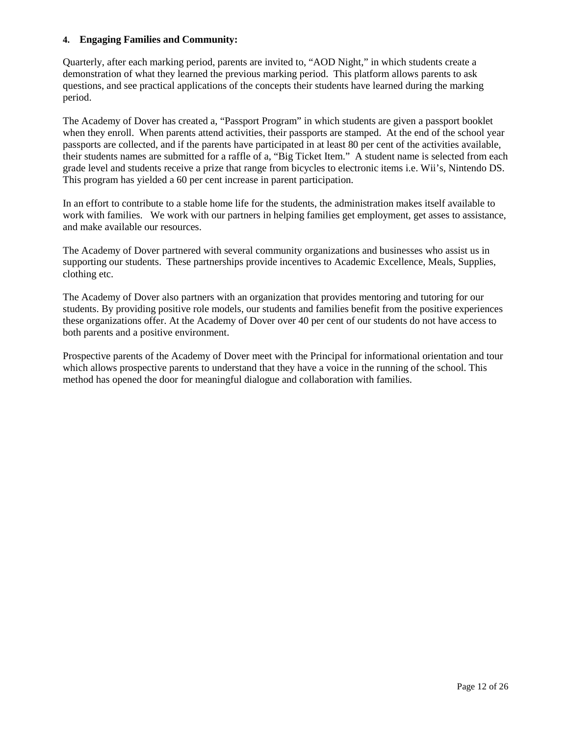#### **4. Engaging Families and Community:**

Quarterly, after each marking period, parents are invited to, "AOD Night," in which students create a demonstration of what they learned the previous marking period. This platform allows parents to ask questions, and see practical applications of the concepts their students have learned during the marking period.

The Academy of Dover has created a, "Passport Program" in which students are given a passport booklet when they enroll. When parents attend activities, their passports are stamped. At the end of the school year passports are collected, and if the parents have participated in at least 80 per cent of the activities available, their students names are submitted for a raffle of a, "Big Ticket Item." A student name is selected from each grade level and students receive a prize that range from bicycles to electronic items i.e. Wii's, Nintendo DS. This program has yielded a 60 per cent increase in parent participation.

In an effort to contribute to a stable home life for the students, the administration makes itself available to work with families. We work with our partners in helping families get employment, get asses to assistance, and make available our resources.

The Academy of Dover partnered with several community organizations and businesses who assist us in supporting our students. These partnerships provide incentives to Academic Excellence, Meals, Supplies, clothing etc.

The Academy of Dover also partners with an organization that provides mentoring and tutoring for our students. By providing positive role models, our students and families benefit from the positive experiences these organizations offer. At the Academy of Dover over 40 per cent of our students do not have access to both parents and a positive environment.

Prospective parents of the Academy of Dover meet with the Principal for informational orientation and tour which allows prospective parents to understand that they have a voice in the running of the school. This method has opened the door for meaningful dialogue and collaboration with families.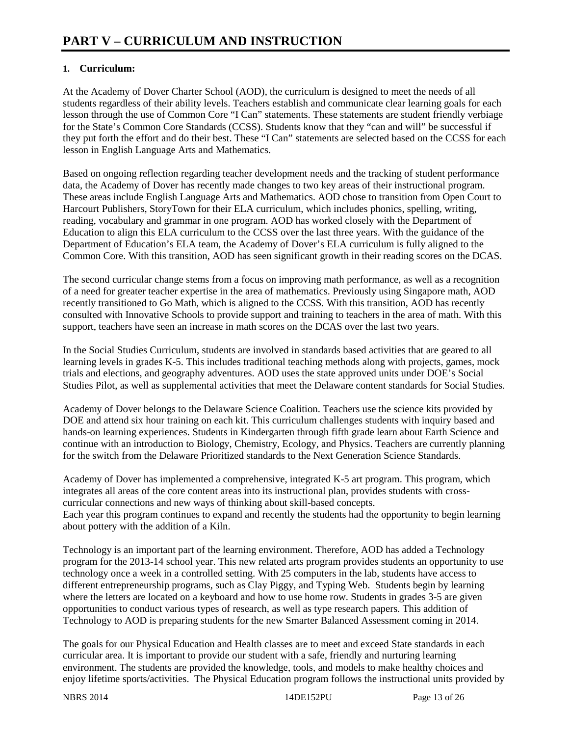### **1. Curriculum:**

At the Academy of Dover Charter School (AOD), the curriculum is designed to meet the needs of all students regardless of their ability levels. Teachers establish and communicate clear learning goals for each lesson through the use of Common Core "I Can" statements. These statements are student friendly verbiage for the State's Common Core Standards (CCSS). Students know that they "can and will" be successful if they put forth the effort and do their best. These "I Can" statements are selected based on the CCSS for each lesson in English Language Arts and Mathematics.

Based on ongoing reflection regarding teacher development needs and the tracking of student performance data, the Academy of Dover has recently made changes to two key areas of their instructional program. These areas include English Language Arts and Mathematics. AOD chose to transition from Open Court to Harcourt Publishers, StoryTown for their ELA curriculum, which includes phonics, spelling, writing, reading, vocabulary and grammar in one program. AOD has worked closely with the Department of Education to align this ELA curriculum to the CCSS over the last three years. With the guidance of the Department of Education's ELA team, the Academy of Dover's ELA curriculum is fully aligned to the Common Core. With this transition, AOD has seen significant growth in their reading scores on the DCAS.

The second curricular change stems from a focus on improving math performance, as well as a recognition of a need for greater teacher expertise in the area of mathematics. Previously using Singapore math, AOD recently transitioned to Go Math, which is aligned to the CCSS. With this transition, AOD has recently consulted with Innovative Schools to provide support and training to teachers in the area of math. With this support, teachers have seen an increase in math scores on the DCAS over the last two years.

In the Social Studies Curriculum, students are involved in standards based activities that are geared to all learning levels in grades K-5. This includes traditional teaching methods along with projects, games, mock trials and elections, and geography adventures. AOD uses the state approved units under DOE's Social Studies Pilot, as well as supplemental activities that meet the Delaware content standards for Social Studies.

Academy of Dover belongs to the Delaware Science Coalition. Teachers use the science kits provided by DOE and attend six hour training on each kit. This curriculum challenges students with inquiry based and hands-on learning experiences. Students in Kindergarten through fifth grade learn about Earth Science and continue with an introduction to Biology, Chemistry, Ecology, and Physics. Teachers are currently planning for the switch from the Delaware Prioritized standards to the Next Generation Science Standards.

Academy of Dover has implemented a comprehensive, integrated K-5 art program. This program, which integrates all areas of the core content areas into its instructional plan, provides students with crosscurricular connections and new ways of thinking about skill-based concepts. Each year this program continues to expand and recently the students had the opportunity to begin learning about pottery with the addition of a Kiln.

Technology is an important part of the learning environment. Therefore, AOD has added a Technology program for the 2013-14 school year. This new related arts program provides students an opportunity to use technology once a week in a controlled setting. With 25 computers in the lab, students have access to different entrepreneurship programs, such as Clay Piggy, and Typing Web. Students begin by learning where the letters are located on a keyboard and how to use home row. Students in grades 3-5 are given opportunities to conduct various types of research, as well as type research papers. This addition of Technology to AOD is preparing students for the new Smarter Balanced Assessment coming in 2014.

The goals for our Physical Education and Health classes are to meet and exceed State standards in each curricular area. It is important to provide our student with a safe, friendly and nurturing learning environment. The students are provided the knowledge, tools, and models to make healthy choices and enjoy lifetime sports/activities. The Physical Education program follows the instructional units provided by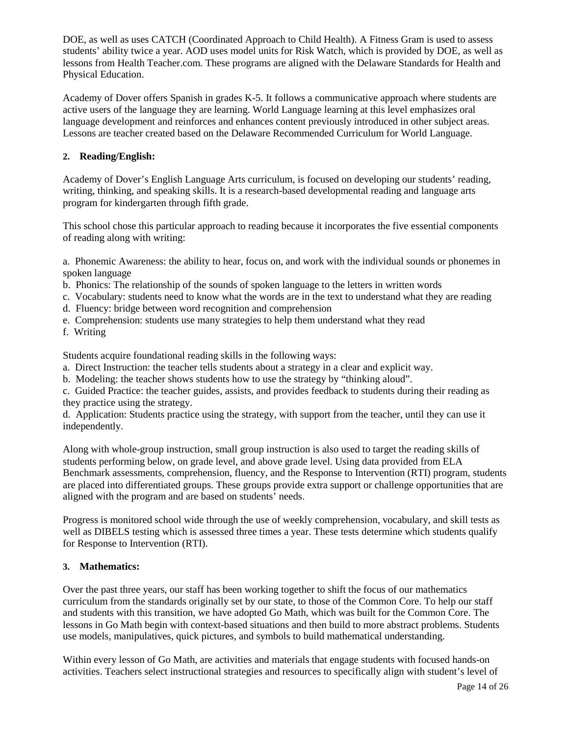DOE, as well as uses CATCH (Coordinated Approach to Child Health). A Fitness Gram is used to assess students' ability twice a year. AOD uses model units for Risk Watch, which is provided by DOE, as well as lessons from Health Teacher.com. These programs are aligned with the Delaware Standards for Health and Physical Education.

Academy of Dover offers Spanish in grades K-5. It follows a communicative approach where students are active users of the language they are learning. World Language learning at this level emphasizes oral language development and reinforces and enhances content previously introduced in other subject areas. Lessons are teacher created based on the Delaware Recommended Curriculum for World Language.

#### **2. Reading/English:**

Academy of Dover's English Language Arts curriculum, is focused on developing our students' reading, writing, thinking, and speaking skills. It is a research-based developmental reading and language arts program for kindergarten through fifth grade.

This school chose this particular approach to reading because it incorporates the five essential components of reading along with writing:

a. Phonemic Awareness: the ability to hear, focus on, and work with the individual sounds or phonemes in spoken language

- b. Phonics: The relationship of the sounds of spoken language to the letters in written words
- c. Vocabulary: students need to know what the words are in the text to understand what they are reading
- d. Fluency: bridge between word recognition and comprehension
- e. Comprehension: students use many strategies to help them understand what they read
- f. Writing

Students acquire foundational reading skills in the following ways:

- a. Direct Instruction: the teacher tells students about a strategy in a clear and explicit way.
- b. Modeling: the teacher shows students how to use the strategy by "thinking aloud".

c. Guided Practice: the teacher guides, assists, and provides feedback to students during their reading as they practice using the strategy.

d. Application: Students practice using the strategy, with support from the teacher, until they can use it independently.

Along with whole-group instruction, small group instruction is also used to target the reading skills of students performing below, on grade level, and above grade level. Using data provided from ELA Benchmark assessments, comprehension, fluency, and the Response to Intervention (RTI) program, students are placed into differentiated groups. These groups provide extra support or challenge opportunities that are aligned with the program and are based on students' needs.

Progress is monitored school wide through the use of weekly comprehension, vocabulary, and skill tests as well as DIBELS testing which is assessed three times a year. These tests determine which students qualify for Response to Intervention (RTI).

#### **3. Mathematics:**

Over the past three years, our staff has been working together to shift the focus of our mathematics curriculum from the standards originally set by our state, to those of the Common Core. To help our staff and students with this transition, we have adopted Go Math, which was built for the Common Core. The lessons in Go Math begin with context-based situations and then build to more abstract problems. Students use models, manipulatives, quick pictures, and symbols to build mathematical understanding.

Within every lesson of Go Math, are activities and materials that engage students with focused hands-on activities. Teachers select instructional strategies and resources to specifically align with student's level of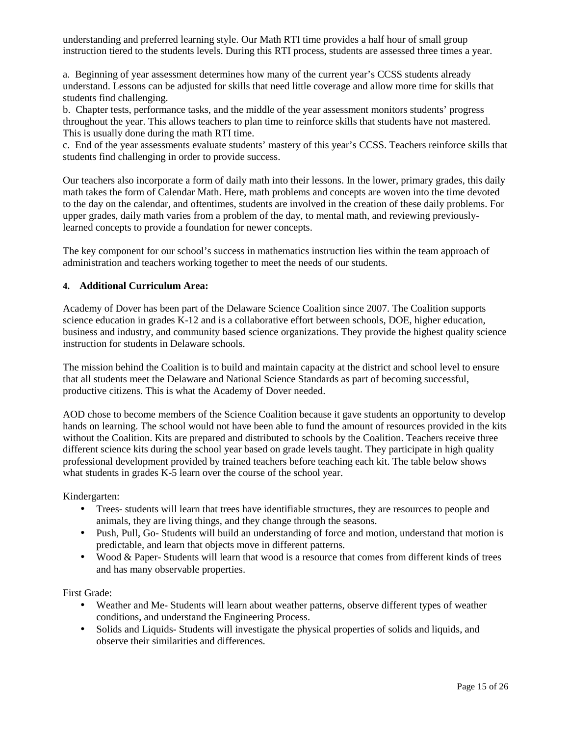understanding and preferred learning style. Our Math RTI time provides a half hour of small group instruction tiered to the students levels. During this RTI process, students are assessed three times a year.

a. Beginning of year assessment determines how many of the current year's CCSS students already understand. Lessons can be adjusted for skills that need little coverage and allow more time for skills that students find challenging.

b. Chapter tests, performance tasks, and the middle of the year assessment monitors students' progress throughout the year. This allows teachers to plan time to reinforce skills that students have not mastered. This is usually done during the math RTI time.

c. End of the year assessments evaluate students' mastery of this year's CCSS. Teachers reinforce skills that students find challenging in order to provide success.

Our teachers also incorporate a form of daily math into their lessons. In the lower, primary grades, this daily math takes the form of Calendar Math. Here, math problems and concepts are woven into the time devoted to the day on the calendar, and oftentimes, students are involved in the creation of these daily problems. For upper grades, daily math varies from a problem of the day, to mental math, and reviewing previouslylearned concepts to provide a foundation for newer concepts.

The key component for our school's success in mathematics instruction lies within the team approach of administration and teachers working together to meet the needs of our students.

#### **4. Additional Curriculum Area:**

Academy of Dover has been part of the Delaware Science Coalition since 2007. The Coalition supports science education in grades K-12 and is a collaborative effort between schools, DOE, higher education, business and industry, and community based science organizations. They provide the highest quality science instruction for students in Delaware schools.

The mission behind the Coalition is to build and maintain capacity at the district and school level to ensure that all students meet the Delaware and National Science Standards as part of becoming successful, productive citizens. This is what the Academy of Dover needed.

AOD chose to become members of the Science Coalition because it gave students an opportunity to develop hands on learning. The school would not have been able to fund the amount of resources provided in the kits without the Coalition. Kits are prepared and distributed to schools by the Coalition. Teachers receive three different science kits during the school year based on grade levels taught. They participate in high quality professional development provided by trained teachers before teaching each kit. The table below shows what students in grades K-5 learn over the course of the school year.

Kindergarten:

- Trees- students will learn that trees have identifiable structures, they are resources to people and animals, they are living things, and they change through the seasons.
- Push, Pull, Go- Students will build an understanding of force and motion, understand that motion is predictable, and learn that objects move in different patterns.
- Wood & Paper- Students will learn that wood is a resource that comes from different kinds of trees and has many observable properties.

First Grade:

- Weather and Me- Students will learn about weather patterns, observe different types of weather conditions, and understand the Engineering Process.
- Solids and Liquids-Students will investigate the physical properties of solids and liquids, and observe their similarities and differences.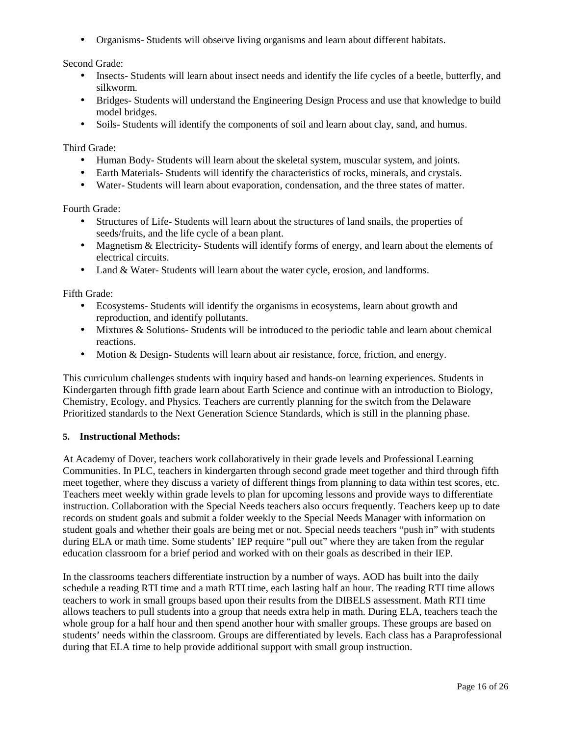• Organisms- Students will observe living organisms and learn about different habitats.

Second Grade:

- Insects- Students will learn about insect needs and identify the life cycles of a beetle, butterfly, and silkworm.
- Bridges- Students will understand the Engineering Design Process and use that knowledge to build model bridges.
- Soils- Students will identify the components of soil and learn about clay, sand, and humus.

Third Grade:

- Human Body- Students will learn about the skeletal system, muscular system, and joints.
- Earth Materials-Students will identify the characteristics of rocks, minerals, and crystals.
- Water- Students will learn about evaporation, condensation, and the three states of matter.

Fourth Grade:

- Structures of Life- Students will learn about the structures of land snails, the properties of seeds/fruits, and the life cycle of a bean plant.
- Magnetism & Electricity-Students will identify forms of energy, and learn about the elements of electrical circuits.
- Land & Water-Students will learn about the water cycle, erosion, and landforms.

Fifth Grade:

- Ecosystems- Students will identify the organisms in ecosystems, learn about growth and reproduction, and identify pollutants.
- Mixtures & Solutions- Students will be introduced to the periodic table and learn about chemical reactions.
- Motion & Design-Students will learn about air resistance, force, friction, and energy.

This curriculum challenges students with inquiry based and hands-on learning experiences. Students in Kindergarten through fifth grade learn about Earth Science and continue with an introduction to Biology, Chemistry, Ecology, and Physics. Teachers are currently planning for the switch from the Delaware Prioritized standards to the Next Generation Science Standards, which is still in the planning phase.

#### **5. Instructional Methods:**

At Academy of Dover, teachers work collaboratively in their grade levels and Professional Learning Communities. In PLC, teachers in kindergarten through second grade meet together and third through fifth meet together, where they discuss a variety of different things from planning to data within test scores, etc. Teachers meet weekly within grade levels to plan for upcoming lessons and provide ways to differentiate instruction. Collaboration with the Special Needs teachers also occurs frequently. Teachers keep up to date records on student goals and submit a folder weekly to the Special Needs Manager with information on student goals and whether their goals are being met or not. Special needs teachers "push in" with students during ELA or math time. Some students' IEP require "pull out" where they are taken from the regular education classroom for a brief period and worked with on their goals as described in their IEP.

In the classrooms teachers differentiate instruction by a number of ways. AOD has built into the daily schedule a reading RTI time and a math RTI time, each lasting half an hour. The reading RTI time allows teachers to work in small groups based upon their results from the DIBELS assessment. Math RTI time allows teachers to pull students into a group that needs extra help in math. During ELA, teachers teach the whole group for a half hour and then spend another hour with smaller groups. These groups are based on students' needs within the classroom. Groups are differentiated by levels. Each class has a Paraprofessional during that ELA time to help provide additional support with small group instruction.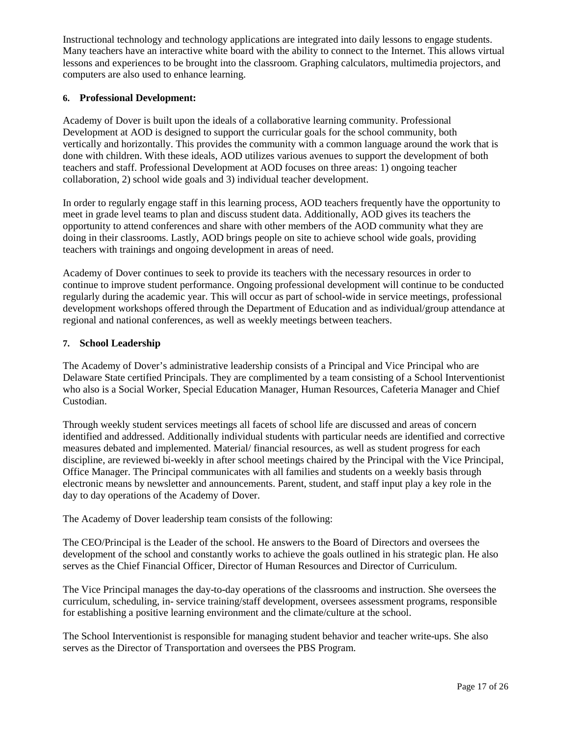Instructional technology and technology applications are integrated into daily lessons to engage students. Many teachers have an interactive white board with the ability to connect to the Internet. This allows virtual lessons and experiences to be brought into the classroom. Graphing calculators, multimedia projectors, and computers are also used to enhance learning.

#### **6. Professional Development:**

Academy of Dover is built upon the ideals of a collaborative learning community. Professional Development at AOD is designed to support the curricular goals for the school community, both vertically and horizontally. This provides the community with a common language around the work that is done with children. With these ideals, AOD utilizes various avenues to support the development of both teachers and staff. Professional Development at AOD focuses on three areas: 1) ongoing teacher collaboration, 2) school wide goals and 3) individual teacher development.

In order to regularly engage staff in this learning process, AOD teachers frequently have the opportunity to meet in grade level teams to plan and discuss student data. Additionally, AOD gives its teachers the opportunity to attend conferences and share with other members of the AOD community what they are doing in their classrooms. Lastly, AOD brings people on site to achieve school wide goals, providing teachers with trainings and ongoing development in areas of need.

Academy of Dover continues to seek to provide its teachers with the necessary resources in order to continue to improve student performance. Ongoing professional development will continue to be conducted regularly during the academic year. This will occur as part of school-wide in service meetings, professional development workshops offered through the Department of Education and as individual/group attendance at regional and national conferences, as well as weekly meetings between teachers.

#### **7. School Leadership**

The Academy of Dover's administrative leadership consists of a Principal and Vice Principal who are Delaware State certified Principals. They are complimented by a team consisting of a School Interventionist who also is a Social Worker, Special Education Manager, Human Resources, Cafeteria Manager and Chief Custodian.

Through weekly student services meetings all facets of school life are discussed and areas of concern identified and addressed. Additionally individual students with particular needs are identified and corrective measures debated and implemented. Material/ financial resources, as well as student progress for each discipline, are reviewed bi-weekly in after school meetings chaired by the Principal with the Vice Principal, Office Manager. The Principal communicates with all families and students on a weekly basis through electronic means by newsletter and announcements. Parent, student, and staff input play a key role in the day to day operations of the Academy of Dover.

The Academy of Dover leadership team consists of the following:

The CEO/Principal is the Leader of the school. He answers to the Board of Directors and oversees the development of the school and constantly works to achieve the goals outlined in his strategic plan. He also serves as the Chief Financial Officer, Director of Human Resources and Director of Curriculum.

The Vice Principal manages the day-to-day operations of the classrooms and instruction. She oversees the curriculum, scheduling, in- service training/staff development, oversees assessment programs, responsible for establishing a positive learning environment and the climate/culture at the school.

The School Interventionist is responsible for managing student behavior and teacher write-ups. She also serves as the Director of Transportation and oversees the PBS Program.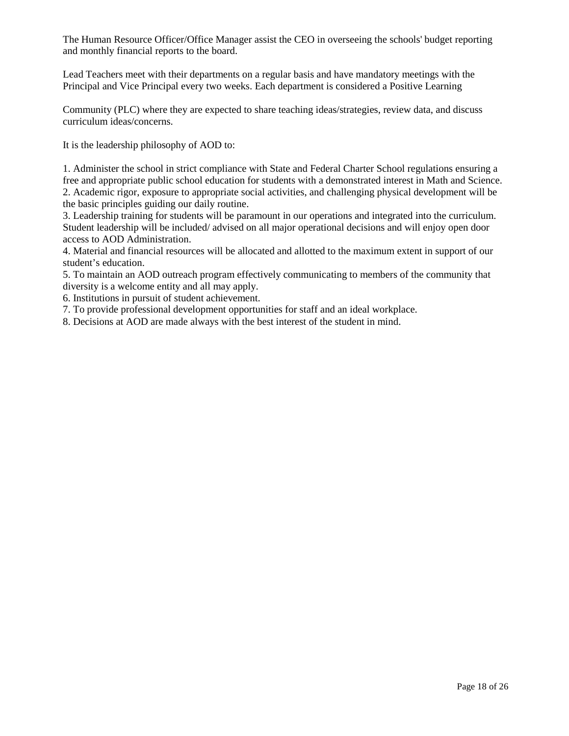The Human Resource Officer/Office Manager assist the CEO in overseeing the schools' budget reporting and monthly financial reports to the board.

Lead Teachers meet with their departments on a regular basis and have mandatory meetings with the Principal and Vice Principal every two weeks. Each department is considered a Positive Learning

Community (PLC) where they are expected to share teaching ideas/strategies, review data, and discuss curriculum ideas/concerns.

It is the leadership philosophy of AOD to:

1. Administer the school in strict compliance with State and Federal Charter School regulations ensuring a free and appropriate public school education for students with a demonstrated interest in Math and Science. 2. Academic rigor, exposure to appropriate social activities, and challenging physical development will be the basic principles guiding our daily routine.

3. Leadership training for students will be paramount in our operations and integrated into the curriculum. Student leadership will be included/ advised on all major operational decisions and will enjoy open door access to AOD Administration.

4. Material and financial resources will be allocated and allotted to the maximum extent in support of our student's education.

5. To maintain an AOD outreach program effectively communicating to members of the community that diversity is a welcome entity and all may apply.

6. Institutions in pursuit of student achievement.

7. To provide professional development opportunities for staff and an ideal workplace.

8. Decisions at AOD are made always with the best interest of the student in mind.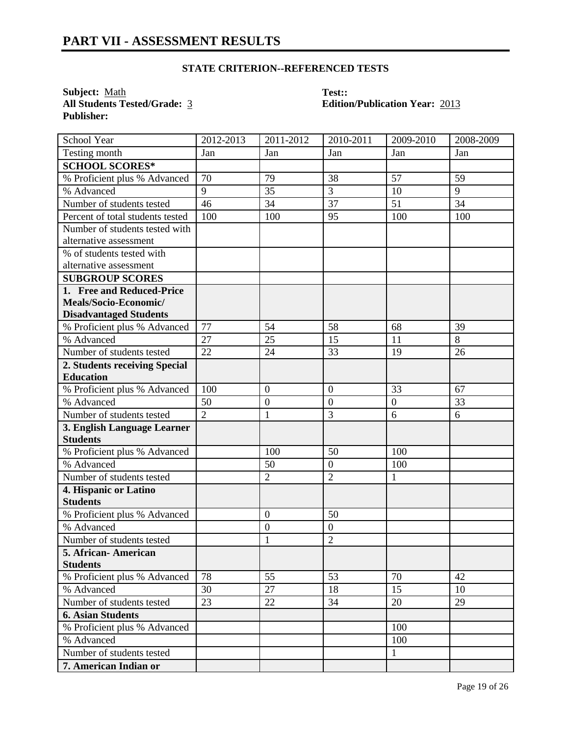## **STATE CRITERION--REFERENCED TESTS**

**Subject:** <u>Math</u> **Test::**<br> **All Students Tested/Grade:** <u>3</u> **Edition Publisher:** 

# **All Students Tested/Grade:** 3 **Edition/Publication Year:** 2013

| School Year                      | 2012-2013      | 2011-2012        | 2010-2011        | 2009-2010        | 2008-2009 |
|----------------------------------|----------------|------------------|------------------|------------------|-----------|
| Testing month                    | Jan            | Jan              | Jan              | Jan              | Jan       |
| <b>SCHOOL SCORES*</b>            |                |                  |                  |                  |           |
| % Proficient plus % Advanced     | 70             | 79               | 38               | 57               | 59        |
| % Advanced                       | 9              | 35               | 3                | 10               | 9         |
| Number of students tested        | 46             | 34               | 37               | 51               | 34        |
| Percent of total students tested | 100            | 100              | 95               | 100              | 100       |
| Number of students tested with   |                |                  |                  |                  |           |
| alternative assessment           |                |                  |                  |                  |           |
| % of students tested with        |                |                  |                  |                  |           |
| alternative assessment           |                |                  |                  |                  |           |
| <b>SUBGROUP SCORES</b>           |                |                  |                  |                  |           |
| 1. Free and Reduced-Price        |                |                  |                  |                  |           |
| Meals/Socio-Economic/            |                |                  |                  |                  |           |
| <b>Disadvantaged Students</b>    |                |                  |                  |                  |           |
| % Proficient plus % Advanced     | 77             | 54               | 58               | 68               | 39        |
| % Advanced                       | 27             | 25               | 15               | 11               | 8         |
| Number of students tested        | 22             | 24               | 33               | 19               | 26        |
| 2. Students receiving Special    |                |                  |                  |                  |           |
| <b>Education</b>                 |                |                  |                  |                  |           |
| % Proficient plus % Advanced     | 100            | $\boldsymbol{0}$ | $\boldsymbol{0}$ | 33               | 67        |
| % Advanced                       | 50             | $\mathbf{0}$     | $\overline{0}$   | $\boldsymbol{0}$ | 33        |
| Number of students tested        | $\overline{2}$ | $\mathbf{1}$     | 3                | 6                | 6         |
| 3. English Language Learner      |                |                  |                  |                  |           |
| <b>Students</b>                  |                |                  |                  |                  |           |
| % Proficient plus % Advanced     |                | 100              | 50               | 100              |           |
| % Advanced                       |                | 50               | $\boldsymbol{0}$ | 100              |           |
| Number of students tested        |                | $\overline{2}$   | $\overline{2}$   | 1                |           |
| 4. Hispanic or Latino            |                |                  |                  |                  |           |
| <b>Students</b>                  |                |                  |                  |                  |           |
| % Proficient plus % Advanced     |                | $\boldsymbol{0}$ | 50               |                  |           |
| % Advanced                       |                | $\mathbf{0}$     | $\boldsymbol{0}$ |                  |           |
| Number of students tested        |                | $\mathbf{1}$     | $\overline{2}$   |                  |           |
| 5. African-American              |                |                  |                  |                  |           |
| <b>Students</b>                  |                |                  |                  |                  |           |
| % Proficient plus % Advanced     | 78             | 55               | 53               | 70               | 42        |
| % Advanced                       | 30             | 27               | 18               | 15               | 10        |
| Number of students tested        | 23             | 22               | 34               | 20               | 29        |
| <b>6. Asian Students</b>         |                |                  |                  |                  |           |
| % Proficient plus % Advanced     |                |                  |                  | 100              |           |
| % Advanced                       |                |                  |                  | 100              |           |
| Number of students tested        |                |                  |                  | $\mathbf{1}$     |           |
| 7. American Indian or            |                |                  |                  |                  |           |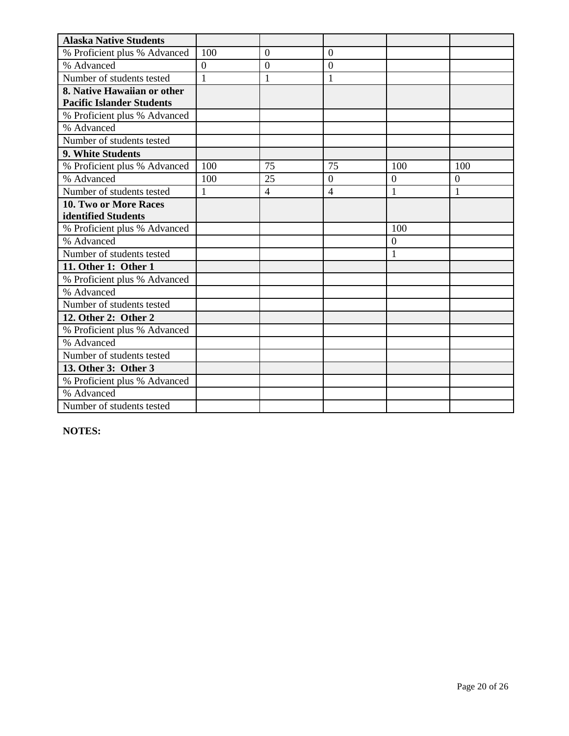| <b>Alaska Native Students</b>    |                |                  |                |                |                |
|----------------------------------|----------------|------------------|----------------|----------------|----------------|
| % Proficient plus % Advanced     | 100            | $\overline{0}$   | $\overline{0}$ |                |                |
| % Advanced                       | $\overline{0}$ | $\boldsymbol{0}$ | $\overline{0}$ |                |                |
| Number of students tested        | $\mathbf{1}$   | $\mathbf{1}$     | $\mathbf{1}$   |                |                |
| 8. Native Hawaiian or other      |                |                  |                |                |                |
| <b>Pacific Islander Students</b> |                |                  |                |                |                |
| % Proficient plus % Advanced     |                |                  |                |                |                |
| % Advanced                       |                |                  |                |                |                |
| Number of students tested        |                |                  |                |                |                |
| 9. White Students                |                |                  |                |                |                |
| % Proficient plus % Advanced     | 100            | 75               | 75             | 100            | 100            |
| % Advanced                       | 100            | 25               | $\theta$       | $\overline{0}$ | $\overline{0}$ |
| Number of students tested        | 1              | $\overline{4}$   | $\overline{4}$ | 1              | $\mathbf{1}$   |
| 10. Two or More Races            |                |                  |                |                |                |
| identified Students              |                |                  |                |                |                |
| % Proficient plus % Advanced     |                |                  |                | 100            |                |
| % Advanced                       |                |                  |                | $\overline{0}$ |                |
| Number of students tested        |                |                  |                | 1              |                |
| 11. Other 1: Other 1             |                |                  |                |                |                |
| % Proficient plus % Advanced     |                |                  |                |                |                |
| % Advanced                       |                |                  |                |                |                |
| Number of students tested        |                |                  |                |                |                |
| 12. Other 2: Other 2             |                |                  |                |                |                |
| % Proficient plus % Advanced     |                |                  |                |                |                |
| % Advanced                       |                |                  |                |                |                |
| Number of students tested        |                |                  |                |                |                |
| 13. Other 3: Other 3             |                |                  |                |                |                |
| % Proficient plus % Advanced     |                |                  |                |                |                |
| % Advanced                       |                |                  |                |                |                |
| Number of students tested        |                |                  |                |                |                |

**NOTES:**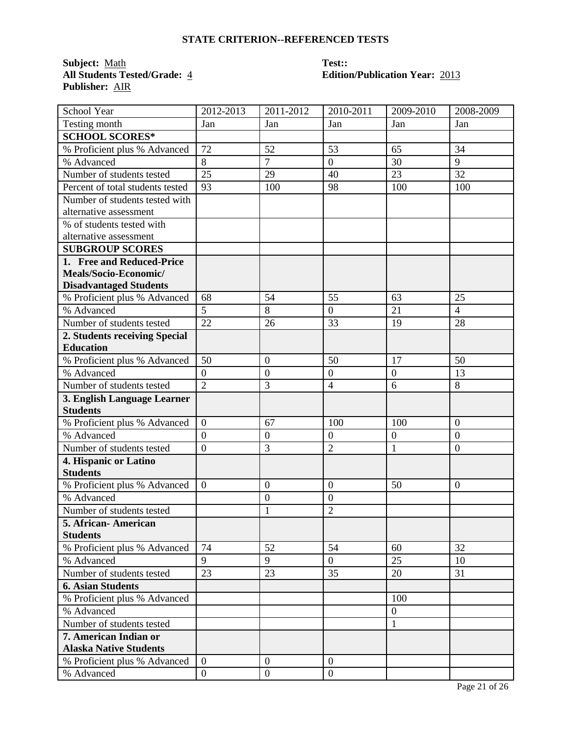### **STATE CRITERION--REFERENCED TESTS**

**Subject:** <u>Math</u> **Test::**<br> **All Students Tested/Grade:** <u>4</u> **Edition Publisher:** AIR

# **All Students Tested/Grade:** 4 **Edition/Publication Year:** 2013

| School Year                      | 2012-2013      | 2011-2012        | 2010-2011        | 2009-2010        | 2008-2009      |
|----------------------------------|----------------|------------------|------------------|------------------|----------------|
| Testing month                    | Jan            | Jan              | Jan              | Jan              | Jan            |
| <b>SCHOOL SCORES*</b>            |                |                  |                  |                  |                |
| % Proficient plus % Advanced     | 72             | 52               | 53               | 65               | 34             |
| % Advanced                       | 8              | $\overline{7}$   | $\boldsymbol{0}$ | 30               | 9              |
| Number of students tested        | 25             | 29               | 40               | 23               | 32             |
| Percent of total students tested | 93             | 100              | 98               | 100              | 100            |
| Number of students tested with   |                |                  |                  |                  |                |
| alternative assessment           |                |                  |                  |                  |                |
| % of students tested with        |                |                  |                  |                  |                |
| alternative assessment           |                |                  |                  |                  |                |
| <b>SUBGROUP SCORES</b>           |                |                  |                  |                  |                |
| 1. Free and Reduced-Price        |                |                  |                  |                  |                |
| Meals/Socio-Economic/            |                |                  |                  |                  |                |
| <b>Disadvantaged Students</b>    |                |                  |                  |                  |                |
| % Proficient plus % Advanced     | 68             | 54               | 55               | 63               | 25             |
| % Advanced                       | $\overline{5}$ | 8                | $\overline{0}$   | 21               | $\overline{4}$ |
| Number of students tested        | 22             | 26               | 33               | 19               | 28             |
| 2. Students receiving Special    |                |                  |                  |                  |                |
| <b>Education</b>                 |                |                  |                  |                  |                |
| % Proficient plus % Advanced     | 50             | $\overline{0}$   | 50               | 17               | 50             |
| % Advanced                       | $\overline{0}$ | $\overline{0}$   | $\boldsymbol{0}$ | $\mathbf{0}$     | 13             |
| Number of students tested        | $\overline{2}$ | 3                | $\overline{4}$   | 6                | 8              |
| 3. English Language Learner      |                |                  |                  |                  |                |
| <b>Students</b>                  |                |                  |                  |                  |                |
| % Proficient plus % Advanced     | $\overline{0}$ | 67               | 100              | 100              | $\overline{0}$ |
| % Advanced                       | $\overline{0}$ | $\boldsymbol{0}$ | $\boldsymbol{0}$ | $\boldsymbol{0}$ | $\overline{0}$ |
| Number of students tested        | $\overline{0}$ | 3                | $\overline{2}$   | $\mathbf{1}$     | $\overline{0}$ |
| 4. Hispanic or Latino            |                |                  |                  |                  |                |
| <b>Students</b>                  |                |                  |                  |                  |                |
| % Proficient plus % Advanced     | $\overline{0}$ | $\boldsymbol{0}$ | $\mathbf{0}$     | 50               | $\overline{0}$ |
| % Advanced                       |                | $\mathbf{0}$     | $\mathbf{0}$     |                  |                |
| Number of students tested        |                | $\mathbf{1}$     | $\overline{2}$   |                  |                |
| 5. African- American             |                |                  |                  |                  |                |
| <b>Students</b>                  |                |                  |                  |                  |                |
| % Proficient plus % Advanced     | 74             | 52               | 54               | 60               | 32             |
| % Advanced                       | 9              | 9                | $\overline{0}$   | 25               | 10             |
| Number of students tested        | 23             | 23               | 35               | 20               | 31             |
| <b>6. Asian Students</b>         |                |                  |                  |                  |                |
| % Proficient plus % Advanced     |                |                  |                  | 100              |                |
| % Advanced                       |                |                  |                  | $\boldsymbol{0}$ |                |
| Number of students tested        |                |                  |                  | $\mathbf{1}$     |                |
| 7. American Indian or            |                |                  |                  |                  |                |
| <b>Alaska Native Students</b>    |                |                  |                  |                  |                |
| % Proficient plus % Advanced     | $\mathbf{0}$   | $\boldsymbol{0}$ | $\overline{0}$   |                  |                |
| % Advanced                       | $\overline{0}$ | $\boldsymbol{0}$ | $\boldsymbol{0}$ |                  |                |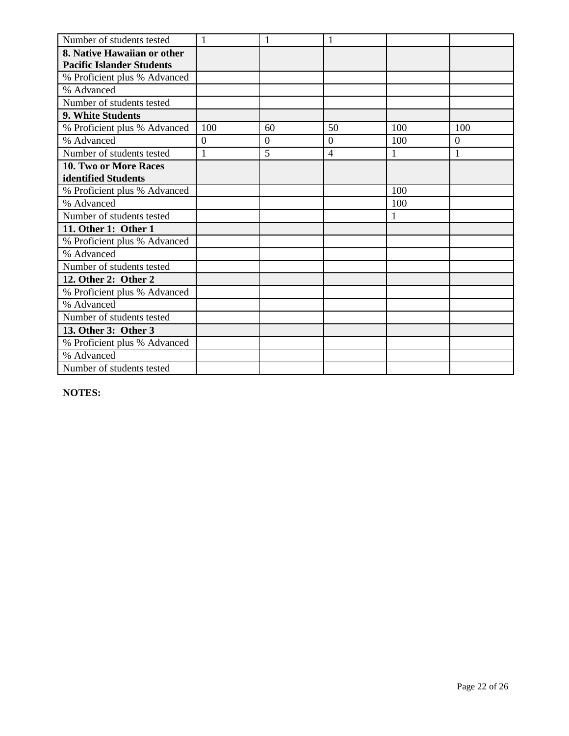| Number of students tested        | $\mathbf{1}$   | 1              | 1              |              |              |
|----------------------------------|----------------|----------------|----------------|--------------|--------------|
| 8. Native Hawaiian or other      |                |                |                |              |              |
| <b>Pacific Islander Students</b> |                |                |                |              |              |
| % Proficient plus % Advanced     |                |                |                |              |              |
| % Advanced                       |                |                |                |              |              |
| Number of students tested        |                |                |                |              |              |
| 9. White Students                |                |                |                |              |              |
| % Proficient plus % Advanced     | 100            | 60             | 50             | 100          | 100          |
| % Advanced                       | $\overline{0}$ | $\overline{0}$ | $\Omega$       | 100          | $\theta$     |
| Number of students tested        | 1              | 5              | $\overline{4}$ | 1            | $\mathbf{1}$ |
| 10. Two or More Races            |                |                |                |              |              |
| identified Students              |                |                |                |              |              |
| % Proficient plus % Advanced     |                |                |                | 100          |              |
| % Advanced                       |                |                |                | 100          |              |
| Number of students tested        |                |                |                | $\mathbf{1}$ |              |
| 11. Other 1: Other 1             |                |                |                |              |              |
| % Proficient plus % Advanced     |                |                |                |              |              |
| % Advanced                       |                |                |                |              |              |
| Number of students tested        |                |                |                |              |              |
| 12. Other 2: Other 2             |                |                |                |              |              |
| % Proficient plus % Advanced     |                |                |                |              |              |
| % Advanced                       |                |                |                |              |              |
| Number of students tested        |                |                |                |              |              |
| 13. Other 3: Other 3             |                |                |                |              |              |
| % Proficient plus % Advanced     |                |                |                |              |              |
| % Advanced                       |                |                |                |              |              |
| Number of students tested        |                |                |                |              |              |

**NOTES:**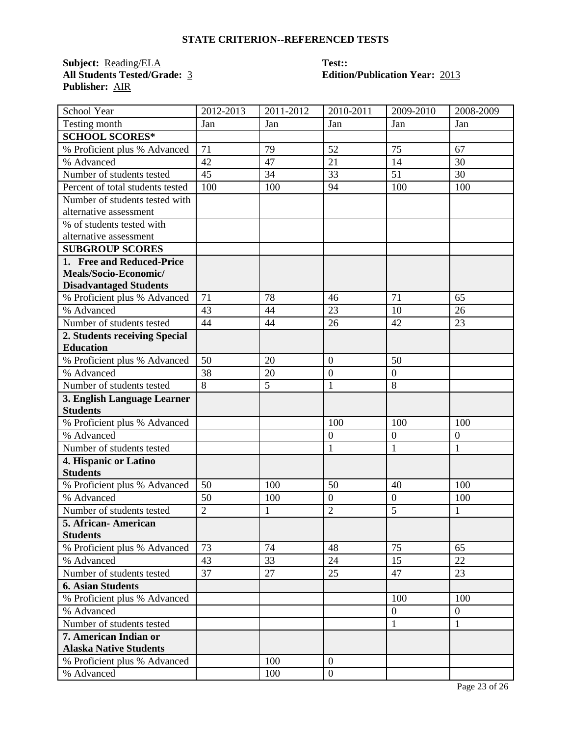### **STATE CRITERION--REFERENCED TESTS**

**Subject:** <u>Reading/ELA</u> **Test::**<br> **All Students Tested/Grade:** <u>3</u> **Edition Publisher:** AIR

# **All Students Tested/Grade:** 3 **Edition/Publication Year:** 2013

| School Year                      | 2012-2013      | 2011-2012 | 2010-2011        | 2009-2010        | 2008-2009        |
|----------------------------------|----------------|-----------|------------------|------------------|------------------|
| Testing month                    | Jan            | Jan       | Jan              | Jan              | Jan              |
| <b>SCHOOL SCORES*</b>            |                |           |                  |                  |                  |
| % Proficient plus % Advanced     | 71             | 79        | 52               | 75               | 67               |
| % Advanced                       | 42             | 47        | 21               | 14               | 30               |
| Number of students tested        | 45             | 34        | 33               | 51               | 30               |
| Percent of total students tested | 100            | 100       | 94               | 100              | 100              |
| Number of students tested with   |                |           |                  |                  |                  |
| alternative assessment           |                |           |                  |                  |                  |
| % of students tested with        |                |           |                  |                  |                  |
| alternative assessment           |                |           |                  |                  |                  |
| <b>SUBGROUP SCORES</b>           |                |           |                  |                  |                  |
| 1. Free and Reduced-Price        |                |           |                  |                  |                  |
| Meals/Socio-Economic/            |                |           |                  |                  |                  |
| <b>Disadvantaged Students</b>    |                |           |                  |                  |                  |
| % Proficient plus % Advanced     | 71             | 78        | 46               | 71               | 65               |
| % Advanced                       | 43             | 44        | 23               | 10               | 26               |
| Number of students tested        | 44             | 44        | 26               | 42               | 23               |
| 2. Students receiving Special    |                |           |                  |                  |                  |
| <b>Education</b>                 |                |           |                  |                  |                  |
| % Proficient plus % Advanced     | 50             | 20        | $\overline{0}$   | 50               |                  |
| % Advanced                       | 38             | 20        | $\mathbf{0}$     | $\boldsymbol{0}$ |                  |
| Number of students tested        | $\overline{8}$ | 5         | 1                | 8                |                  |
| 3. English Language Learner      |                |           |                  |                  |                  |
| <b>Students</b>                  |                |           |                  |                  |                  |
| % Proficient plus % Advanced     |                |           | 100              | 100              | 100              |
| % Advanced                       |                |           | $\mathbf{0}$     | $\boldsymbol{0}$ | $\boldsymbol{0}$ |
| Number of students tested        |                |           | $\mathbf{1}$     | $\mathbf{1}$     | $\mathbf{1}$     |
| 4. Hispanic or Latino            |                |           |                  |                  |                  |
| <b>Students</b>                  |                |           |                  |                  |                  |
| % Proficient plus % Advanced     | 50             | 100       | 50               | 40               | 100              |
| % Advanced                       | 50             | 100       | $\boldsymbol{0}$ | $\overline{0}$   | 100              |
| Number of students tested        | $\overline{2}$ | 1         | $\overline{2}$   | 5                | 1                |
| 5. African-American              |                |           |                  |                  |                  |
| <b>Students</b>                  |                |           |                  |                  |                  |
| % Proficient plus % Advanced     | 73             | 74        | 48               | 75               | 65               |
| % Advanced                       | 43             | 33        | 24               | 15               | 22               |
| Number of students tested        | 37             | 27        | 25               | 47               | 23               |
| <b>6. Asian Students</b>         |                |           |                  |                  |                  |
| % Proficient plus % Advanced     |                |           |                  | 100              | 100              |
| % Advanced                       |                |           |                  | $\overline{0}$   | $\overline{0}$   |
| Number of students tested        |                |           |                  | $\mathbf{1}$     | $\mathbf{1}$     |
| 7. American Indian or            |                |           |                  |                  |                  |
| <b>Alaska Native Students</b>    |                |           |                  |                  |                  |
| % Proficient plus % Advanced     |                | 100       | $\overline{0}$   |                  |                  |
| % Advanced                       |                | 100       | $\boldsymbol{0}$ |                  |                  |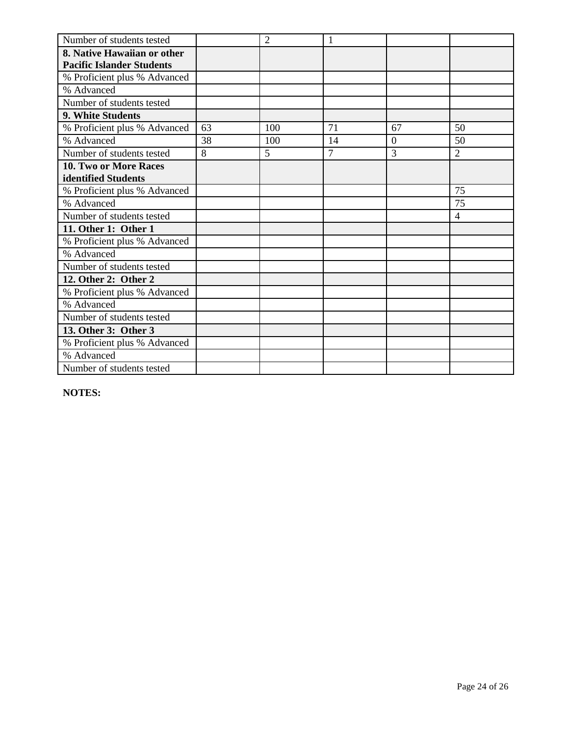| Number of students tested        |    | $\overline{2}$ |                |          |                |
|----------------------------------|----|----------------|----------------|----------|----------------|
| 8. Native Hawaiian or other      |    |                |                |          |                |
| <b>Pacific Islander Students</b> |    |                |                |          |                |
| % Proficient plus % Advanced     |    |                |                |          |                |
| % Advanced                       |    |                |                |          |                |
| Number of students tested        |    |                |                |          |                |
| 9. White Students                |    |                |                |          |                |
| % Proficient plus % Advanced     | 63 | 100            | 71             | 67       | 50             |
| % Advanced                       | 38 | 100            | 14             | $\Omega$ | 50             |
| Number of students tested        | 8  | 5              | $\overline{7}$ | 3        | $\overline{2}$ |
| 10. Two or More Races            |    |                |                |          |                |
| identified Students              |    |                |                |          |                |
| % Proficient plus % Advanced     |    |                |                |          | 75             |
| % Advanced                       |    |                |                |          | 75             |
| Number of students tested        |    |                |                |          | $\overline{4}$ |
| 11. Other 1: Other 1             |    |                |                |          |                |
| % Proficient plus % Advanced     |    |                |                |          |                |
| % Advanced                       |    |                |                |          |                |
| Number of students tested        |    |                |                |          |                |
| 12. Other 2: Other 2             |    |                |                |          |                |
| % Proficient plus % Advanced     |    |                |                |          |                |
| % Advanced                       |    |                |                |          |                |
| Number of students tested        |    |                |                |          |                |
| 13. Other 3: Other 3             |    |                |                |          |                |
| % Proficient plus % Advanced     |    |                |                |          |                |
| % Advanced                       |    |                |                |          |                |
| Number of students tested        |    |                |                |          |                |

**NOTES:**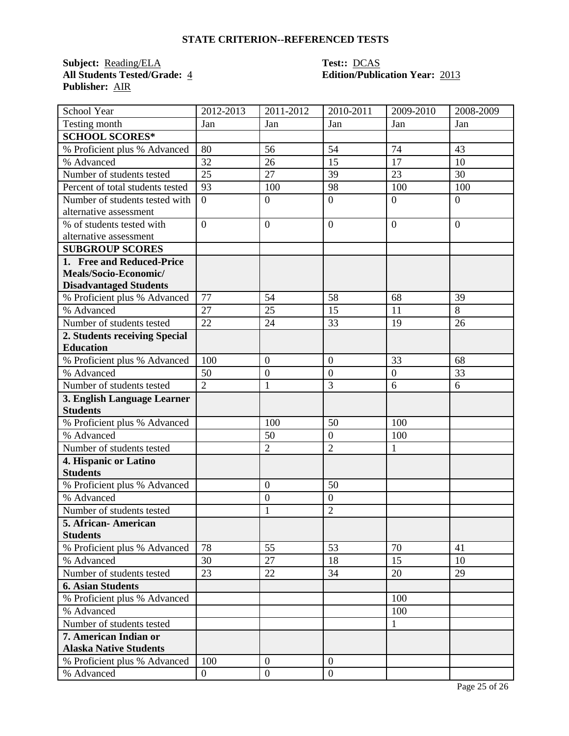### **STATE CRITERION--REFERENCED TESTS**

**Subject:** <u>Reading/ELA</u> **Test::** <u>DCAS</u><br> **All Students Tested/Grade:** 4 **Edition/Public Publisher:** AIR

# **All Students Tested/Grade:** 4 **Edition/Publication Year:** 2013

| School Year                                    | 2012-2013        | 2011-2012        | 2010-2011      | 2009-2010        | 2008-2009      |
|------------------------------------------------|------------------|------------------|----------------|------------------|----------------|
| Testing month                                  | Jan              | Jan              | Jan            | Jan              | Jan            |
| <b>SCHOOL SCORES*</b>                          |                  |                  |                |                  |                |
| % Proficient plus % Advanced                   | 80               | 56               | 54             | 74               | 43             |
| % Advanced                                     | 32               | 26               | 15             | 17               | 10             |
| Number of students tested                      | 25               | 27               | 39             | 23               | 30             |
| Percent of total students tested               | 93               | 100              | 98             | 100              | 100            |
| Number of students tested with                 | $\overline{0}$   | $\boldsymbol{0}$ | $\overline{0}$ | $\overline{0}$   | $\overline{0}$ |
| alternative assessment                         |                  |                  |                |                  |                |
| % of students tested with                      | $\overline{0}$   | $\overline{0}$   | $\mathbf{0}$   | $\overline{0}$   | $\Omega$       |
| alternative assessment                         |                  |                  |                |                  |                |
| <b>SUBGROUP SCORES</b>                         |                  |                  |                |                  |                |
| 1. Free and Reduced-Price                      |                  |                  |                |                  |                |
| Meals/Socio-Economic/                          |                  |                  |                |                  |                |
| <b>Disadvantaged Students</b>                  |                  |                  |                |                  |                |
| % Proficient plus % Advanced                   | 77               | 54               | 58             | 68               | 39             |
| % Advanced                                     | 27               | 25               | 15             | 11               | 8              |
| Number of students tested                      | 22               | 24               | 33             | 19               | 26             |
| 2. Students receiving Special                  |                  |                  |                |                  |                |
| <b>Education</b>                               |                  |                  |                |                  |                |
| % Proficient plus % Advanced                   | 100              | $\overline{0}$   | $\overline{0}$ | 33               | 68             |
| % Advanced                                     | 50               | $\boldsymbol{0}$ | $\overline{0}$ | $\boldsymbol{0}$ | 33             |
| Number of students tested                      | $\overline{2}$   | $\mathbf{1}$     | 3              | 6                | 6              |
| 3. English Language Learner<br><b>Students</b> |                  |                  |                |                  |                |
| % Proficient plus % Advanced                   |                  | 100              | 50             | 100              |                |
| % Advanced                                     |                  | 50               | $\mathbf{0}$   | 100              |                |
| Number of students tested                      |                  | $\overline{2}$   | $\overline{2}$ | $\mathbf{1}$     |                |
| 4. Hispanic or Latino                          |                  |                  |                |                  |                |
| <b>Students</b>                                |                  |                  |                |                  |                |
| % Proficient plus % Advanced                   |                  | $\boldsymbol{0}$ | 50             |                  |                |
| % Advanced                                     |                  | $\boldsymbol{0}$ | $\mathbf{0}$   |                  |                |
| Number of students tested                      |                  | 1                | $\overline{2}$ |                  |                |
| 5. African-American                            |                  |                  |                |                  |                |
| <b>Students</b>                                |                  |                  |                |                  |                |
| % Proficient plus % Advanced                   | 78               | 55               | 53             | 70               | 41             |
| % Advanced                                     | 30               | 27               | 18             | 15               | 10             |
| Number of students tested                      | 23               | 22               | 34             | 20               | 29             |
| <b>6. Asian Students</b>                       |                  |                  |                |                  |                |
| % Proficient plus % Advanced                   |                  |                  |                | 100              |                |
| % Advanced                                     |                  |                  |                | 100              |                |
| Number of students tested                      |                  |                  |                | $\mathbf{1}$     |                |
| 7. American Indian or                          |                  |                  |                |                  |                |
| <b>Alaska Native Students</b>                  |                  |                  |                |                  |                |
| % Proficient plus % Advanced                   | 100              | $\overline{0}$   | $\mathbf{0}$   |                  |                |
| % Advanced                                     | $\boldsymbol{0}$ | $\boldsymbol{0}$ | $\mathbf{0}$   |                  |                |